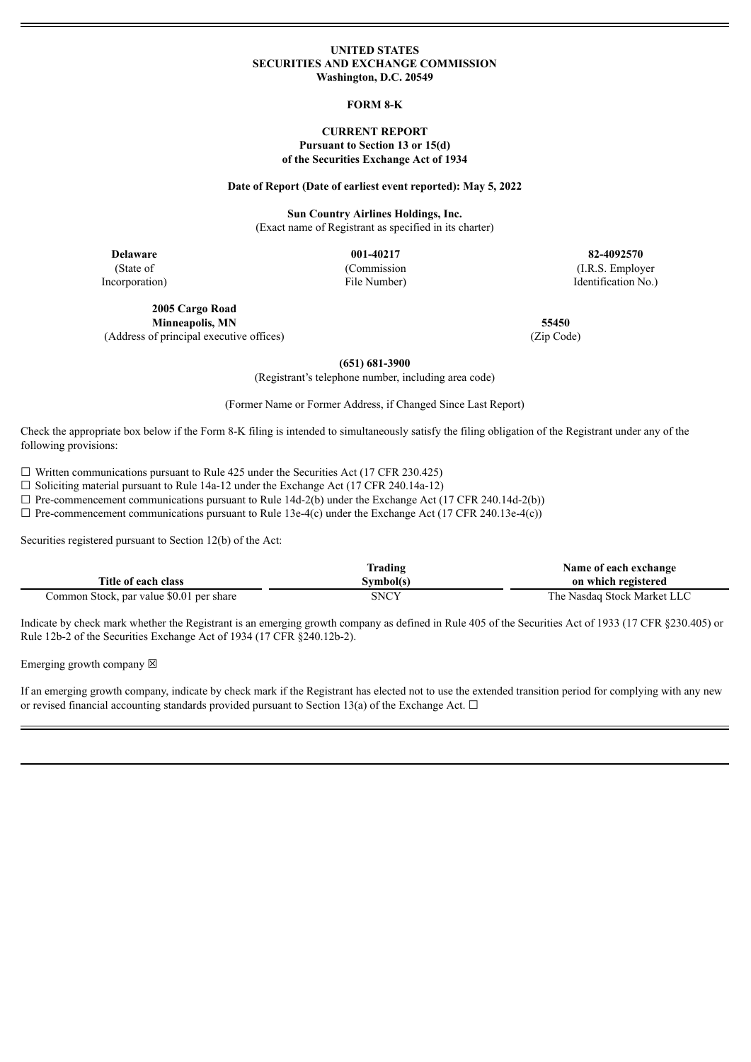#### **UNITED STATES SECURITIES AND EXCHANGE COMMISSION Washington, D.C. 20549**

#### **FORM 8-K**

#### **CURRENT REPORT Pursuant to Section 13 or 15(d) of the Securities Exchange Act of 1934**

#### **Date of Report (Date of earliest event reported): May 5, 2022**

**Sun Country Airlines Holdings, Inc.** (Exact name of Registrant as specified in its charter)

**Delaware 001-40217 82-4092570** (State of Incorporation)

(Commission

File Number)

**2005 Cargo Road Minneapolis, MN 55450** (Address of principal executive offices) (Zip Code)

(I.R.S. Employer Identification No.)

**(651) 681-3900**

(Registrant's telephone number, including area code)

(Former Name or Former Address, if Changed Since Last Report)

Check the appropriate box below if the Form 8-K filing is intended to simultaneously satisfy the filing obligation of the Registrant under any of the following provisions:

 $\Box$  Written communications pursuant to Rule 425 under the Securities Act (17 CFR 230.425)

☐ Soliciting material pursuant to Rule 14a-12 under the Exchange Act (17 CFR 240.14a-12)

 $\Box$  Pre-commencement communications pursuant to Rule 14d-2(b) under the Exchange Act (17 CFR 240.14d-2(b))

 $\Box$  Pre-commencement communications pursuant to Rule 13e-4(c) under the Exchange Act (17 CFR 240.13e-4(c))

Securities registered pursuant to Section 12(b) of the Act:

|                                          | Trading     | Name of each exchange       |
|------------------------------------------|-------------|-----------------------------|
| Title of each class                      | Symbol(s)   | on which registered         |
| Common Stock, par value \$0.01 per share | <b>SNCY</b> | The Nasdaq Stock Market LLC |

Indicate by check mark whether the Registrant is an emerging growth company as defined in Rule 405 of the Securities Act of 1933 (17 CFR §230.405) or Rule 12b-2 of the Securities Exchange Act of 1934 (17 CFR §240.12b-2).

Emerging growth company  $\boxtimes$ 

If an emerging growth company, indicate by check mark if the Registrant has elected not to use the extended transition period for complying with any new or revised financial accounting standards provided pursuant to Section 13(a) of the Exchange Act.  $\Box$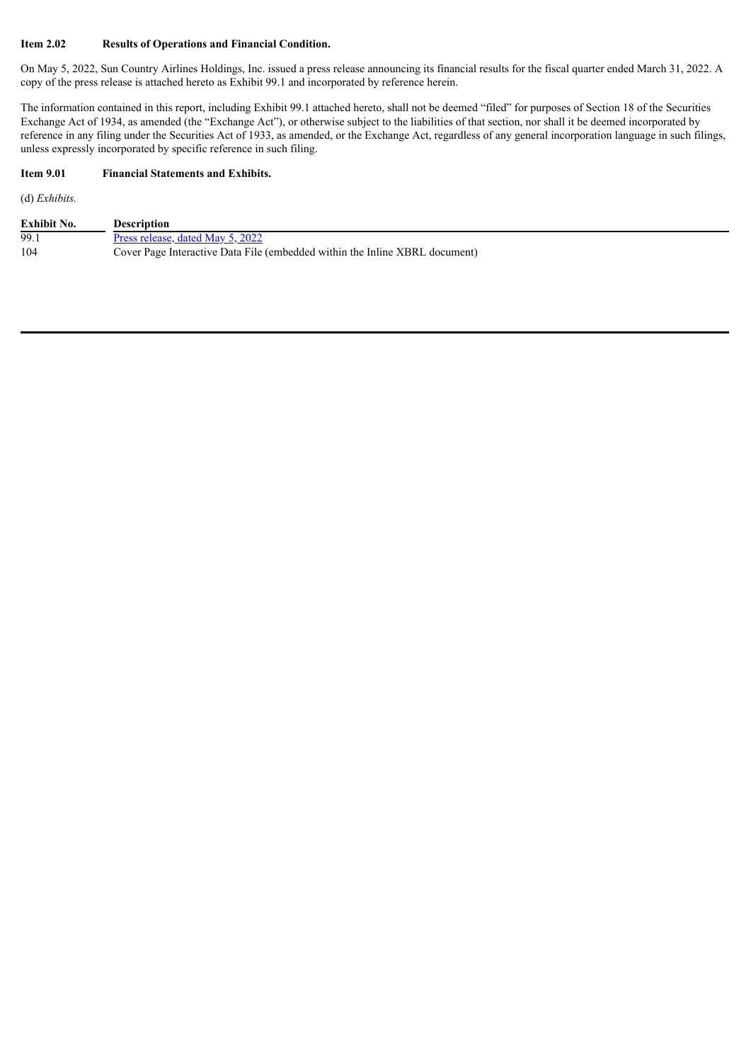## **Item 2.02 Results of Operations and Financial Condition.**

On May 5, 2022, Sun Country Airlines Holdings, Inc. issued a press release announcing its financial results for the fiscal quarter ended March 31, 2022. A copy of the press release is attached hereto as Exhibit 99.1 and incorporated by reference herein.

The information contained in this report, including Exhibit 99.1 attached hereto, shall not be deemed "filed" for purposes of Section 18 of the Securities Exchange Act of 1934, as amended (the "Exchange Act"), or otherwise subject to the liabilities of that section, nor shall it be deemed incorporated by reference in any filing under the Securities Act of 1933, as amended, or the Exchange Act, regardless of any general incorporation language in such filings, unless expressly incorporated by specific reference in such filing.

## **Item 9.01 Financial Statements and Exhibits.**

(d) *Exhibits.*

| <b>Exhibit No.</b> | <b>Description</b>                                                          |
|--------------------|-----------------------------------------------------------------------------|
| 99.1               | Press release, dated May 5, 2022                                            |
| 104                | Cover Page Interactive Data File (embedded within the Inline XBRL document) |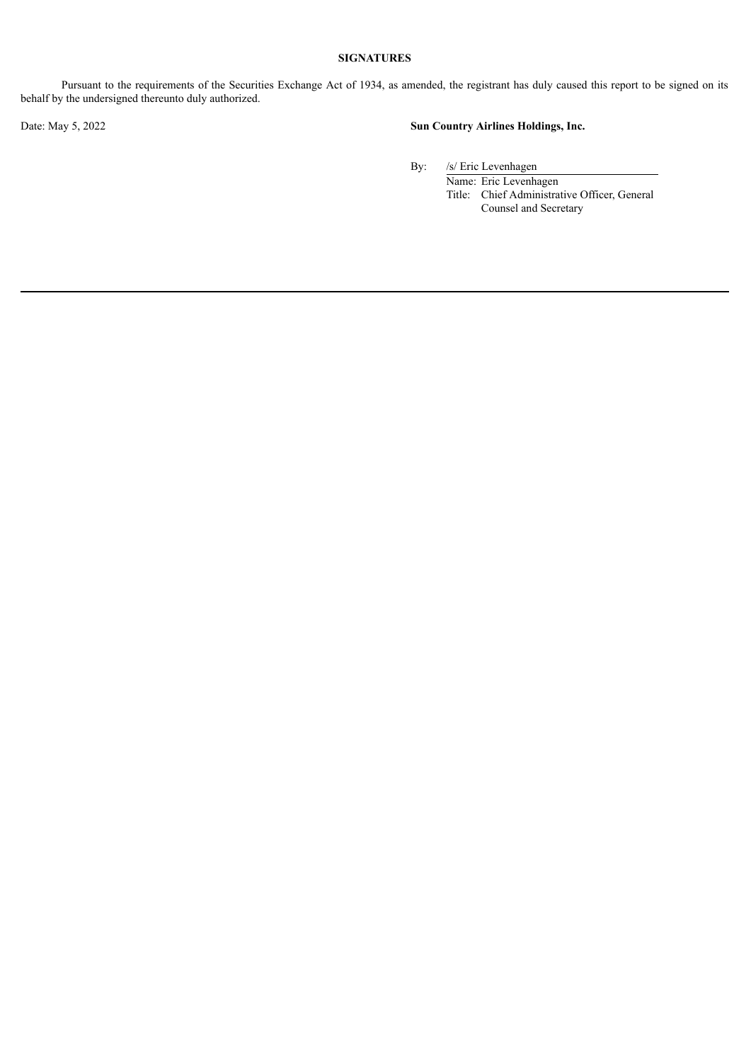## **SIGNATURES**

Pursuant to the requirements of the Securities Exchange Act of 1934, as amended, the registrant has duly caused this report to be signed on its behalf by the undersigned thereunto duly authorized.

# Date: May 5, 2022 **Sun Country Airlines Holdings, Inc.**

By: /s/ Eric Levenhagen

Name: Eric Levenhagen Title: Chief Administrative Officer, General Counsel and Secretary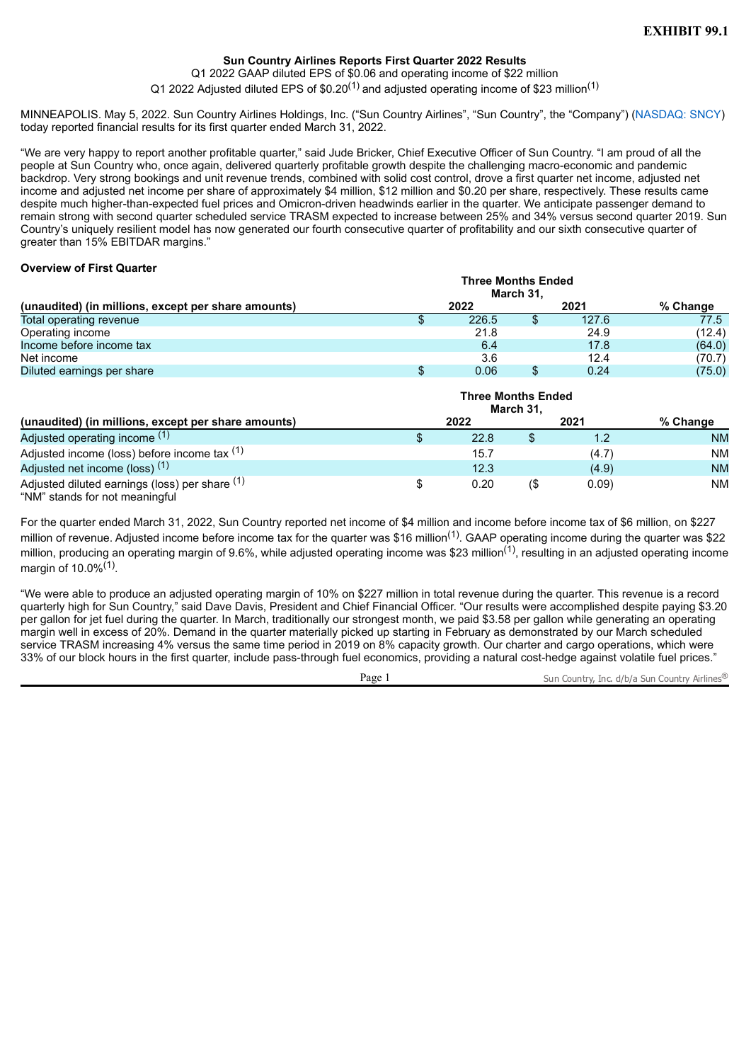# **Sun Country Airlines Reports First Quarter 2022 Results**

Q1 2022 GAAP diluted EPS of \$0.06 and operating income of \$22 million

Q1 2022 Adjusted diluted EPS of \$0.20<sup>(1)</sup> and adjusted operating income of \$23 million<sup>(1)</sup>

<span id="page-3-0"></span>MINNEAPOLIS. May 5, 2022. Sun Country Airlines Holdings, Inc. ("Sun Country Airlines", "Sun Country", the "Company") (NASDAQ: SNCY) today reported financial results for its first quarter ended March 31, 2022.

"We are very happy to report another profitable quarter," said Jude Bricker, Chief Executive Officer of Sun Country. "I am proud of all the people at Sun Country who, once again, delivered quarterly profitable growth despite the challenging macro-economic and pandemic backdrop. Very strong bookings and unit revenue trends, combined with solid cost control, drove a first quarter net income, adjusted net income and adjusted net income per share of approximately \$4 million, \$12 million and \$0.20 per share, respectively. These results came despite much higher-than-expected fuel prices and Omicron-driven headwinds earlier in the quarter. We anticipate passenger demand to remain strong with second quarter scheduled service TRASM expected to increase between 25% and 34% versus second quarter 2019. Sun Country's uniquely resilient model has now generated our fourth consecutive quarter of profitability and our sixth consecutive quarter of greater than 15% EBITDAR margins."

## **Overview of First Quarter**

| (unaudited) (in millions, except per share amounts) | <b>Three Months Ended</b> | March 31, |       |          |
|-----------------------------------------------------|---------------------------|-----------|-------|----------|
|                                                     | 2022                      |           | 2021  | % Change |
| Total operating revenue                             | 226.5                     |           | 127.6 | 77.5     |
| Operating income                                    | 21.8                      |           | 24.9  | (12.4)   |
| Income before income tax                            | 6.4                       |           | 17.8  | (64.0)   |
| Net income                                          | 3.6                       |           | 12.4  | (70.7)   |
| Diluted earnings per share                          | 0.06                      |           | 0.24  | (75.0)   |

| (unaudited) (in millions, except per share amounts)                              |   |      | <b>Three Months Ended</b><br>March 31, |       |           |
|----------------------------------------------------------------------------------|---|------|----------------------------------------|-------|-----------|
|                                                                                  |   | 2022 |                                        | 2021  | % Change  |
| Adjusted operating income (1)                                                    |   | 22.8 |                                        | 1.2   | <b>NM</b> |
| Adjusted income (loss) before income tax (1)                                     |   | 15.7 |                                        | (4.7) | NM.       |
| Adjusted net income (loss) <sup>(1)</sup>                                        |   | 12.3 |                                        | (4.9) | <b>NM</b> |
| Adjusted diluted earnings (loss) per share (1)<br>"NM" stands for not meaningful | S | 0.20 | $($ \$                                 | 0.09  | NM.       |

For the quarter ended March 31, 2022, Sun Country reported net income of \$4 million and income before income tax of \$6 million, on \$227 million of revenue. Adjusted income before income tax for the quarter was \$16 million<sup>(1)</sup>. GAAP operating income during the quarter was \$22 million, producing an operating margin of 9.6%, while adjusted operating income was \$23 million<sup>(1)</sup>, resulting in an adjusted operating income margin of 10.0%<sup>(1)</sup>.

"We were able to produce an adjusted operating margin of 10% on \$227 million in total revenue during the quarter. This revenue is a record quarterly high for Sun Country," said Dave Davis, President and Chief Financial Officer. "Our results were accomplished despite paying \$3.20 per gallon for jet fuel during the quarter. In March, traditionally our strongest month, we paid \$3.58 per gallon while generating an operating margin well in excess of 20%. Demand in the quarter materially picked up starting in February as demonstrated by our March scheduled service TRASM increasing 4% versus the same time period in 2019 on 8% capacity growth. Our charter and cargo operations, which were 33% of our block hours in the first quarter, include pass-through fuel economics, providing a natural cost-hedge against volatile fuel prices."

Page 1 Sun Country, Inc. d/b/a Sun Country Airlines®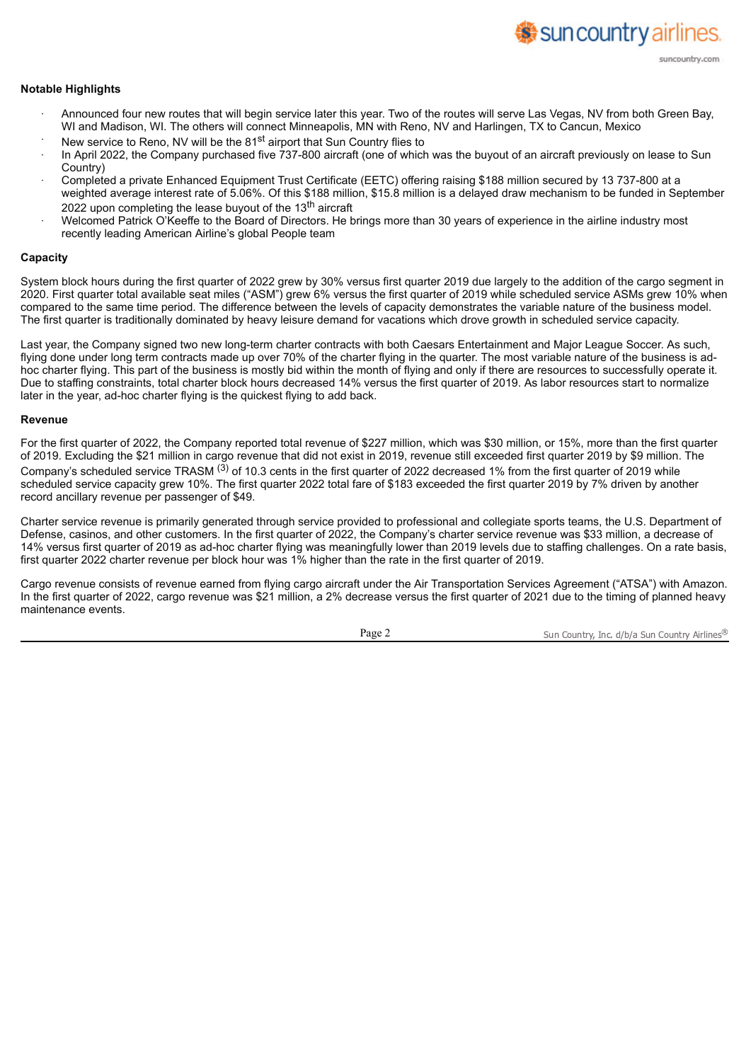#### **Notable Highlights**

- · Announced four new routes that will begin service later this year. Two of the routes will serve Las Vegas, NV from both Green Bay, WI and Madison, WI. The others will connect Minneapolis, MN with Reno, NV and Harlingen, TX to Cancun, Mexico
- New service to Reno, NV will be the 81<sup>st</sup> airport that Sun Country flies to
- In April 2022, the Company purchased five 737-800 aircraft (one of which was the buyout of an aircraft previously on lease to Sun Country)
- · Completed a private Enhanced Equipment Trust Certificate (EETC) offering raising \$188 million secured by 13 737-800 at a weighted average interest rate of 5.06%. Of this \$188 million, \$15.8 million is a delayed draw mechanism to be funded in September 2022 upon completing the lease buyout of the 13<sup>th</sup> aircraft
- Welcomed Patrick O'Keeffe to the Board of Directors. He brings more than 30 years of experience in the airline industry most recently leading American Airline's global People team

#### **Capacity**

System block hours during the first quarter of 2022 grew by 30% versus first quarter 2019 due largely to the addition of the cargo segment in 2020. First quarter total available seat miles ("ASM") grew 6% versus the first quarter of 2019 while scheduled service ASMs grew 10% when compared to the same time period. The difference between the levels of capacity demonstrates the variable nature of the business model. The first quarter is traditionally dominated by heavy leisure demand for vacations which drove growth in scheduled service capacity.

Last year, the Company signed two new long-term charter contracts with both Caesars Entertainment and Major League Soccer. As such, flying done under long term contracts made up over 70% of the charter flying in the quarter. The most variable nature of the business is adhoc charter flying. This part of the business is mostly bid within the month of flying and only if there are resources to successfully operate it. Due to staffing constraints, total charter block hours decreased 14% versus the first quarter of 2019. As labor resources start to normalize later in the year, ad-hoc charter flying is the quickest flying to add back.

#### **Revenue**

For the first quarter of 2022, the Company reported total revenue of \$227 million, which was \$30 million, or 15%, more than the first quarter of 2019. Excluding the \$21 million in cargo revenue that did not exist in 2019, revenue still exceeded first quarter 2019 by \$9 million. The Company's scheduled service TRASM  $(3)$  of 10.3 cents in the first quarter of 2022 decreased 1% from the first quarter of 2019 while scheduled service capacity grew 10%. The first quarter 2022 total fare of \$183 exceeded the first quarter 2019 by 7% driven by another record ancillary revenue per passenger of \$49.

Charter service revenue is primarily generated through service provided to professional and collegiate sports teams, the U.S. Department of Defense, casinos, and other customers. In the first quarter of 2022, the Company's charter service revenue was \$33 million, a decrease of 14% versus first quarter of 2019 as ad-hoc charter flying was meaningfully lower than 2019 levels due to staffing challenges. On a rate basis, first quarter 2022 charter revenue per block hour was 1% higher than the rate in the first quarter of 2019.

Cargo revenue consists of revenue earned from flying cargo aircraft under the Air Transportation Services Agreement ("ATSA") with Amazon. In the first quarter of 2022, cargo revenue was \$21 million, a 2% decrease versus the first quarter of 2021 due to the timing of planned heavy maintenance events.

Page 2 Sun Country, Inc. d/b/a Sun Country Airlines<sup>®</sup>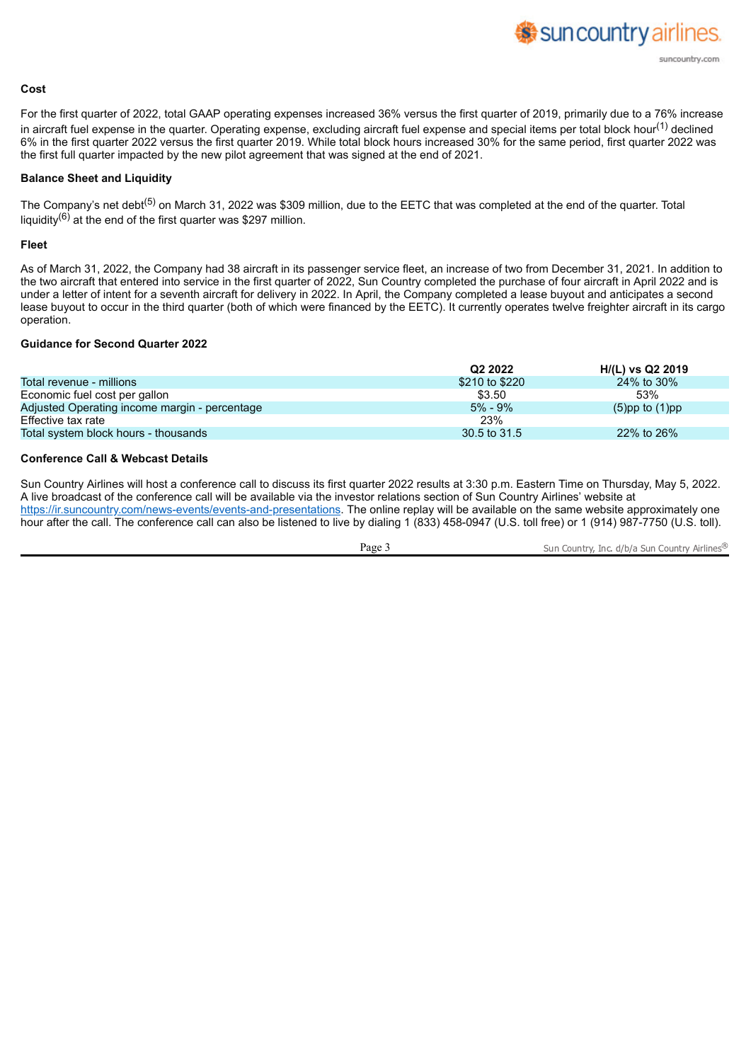

#### **Cost**

For the first quarter of 2022, total GAAP operating expenses increased 36% versus the first quarter of 2019, primarily due to a 76% increase in aircraft fuel expense in the quarter. Operating expense, excluding aircraft fuel expense and special items per total block hour<sup>(1)</sup> declined 6% in the first quarter 2022 versus the first quarter 2019. While total block hours increased 30% for the same period, first quarter 2022 was the first full quarter impacted by the new pilot agreement that was signed at the end of 2021.

#### **Balance Sheet and Liquidity**

The Company's net debt<sup>(5)</sup> on March 31, 2022 was \$309 million, due to the EETC that was completed at the end of the quarter. Total liquidity<sup>(6)</sup> at the end of the first quarter was \$297 million.

#### **Fleet**

As of March 31, 2022, the Company had 38 aircraft in its passenger service fleet, an increase of two from December 31, 2021. In addition to the two aircraft that entered into service in the first quarter of 2022, Sun Country completed the purchase of four aircraft in April 2022 and is under a letter of intent for a seventh aircraft for delivery in 2022. In April, the Company completed a lease buyout and anticipates a second lease buyout to occur in the third quarter (both of which were financed by the EETC). It currently operates twelve freighter aircraft in its cargo operation.

#### **Guidance for Second Quarter 2022**

|                                               | Q <sub>2</sub> 2022 | H/(L) vs Q2 2019     |
|-----------------------------------------------|---------------------|----------------------|
| Total revenue - millions                      | \$210 to \$220      | 24% to 30%           |
| Economic fuel cost per gallon                 | \$3.50              | 53%                  |
| Adjusted Operating income margin - percentage | $5\% - 9\%$         | $(5)$ pp to $(1)$ pp |
| Effective tax rate                            | 23%                 |                      |
| Total system block hours - thousands          | 30.5 to 31.5        | 22% to 26%           |

## **Conference Call & Webcast Details**

Sun Country Airlines will host a conference call to discuss its first quarter 2022 results at 3:30 p.m. Eastern Time on Thursday, May 5, 2022. A live broadcast of the conference call will be available via the investor relations section of Sun Country Airlines' website at https://ir.suncountry.com/news-events/events-and-presentations. The online replay will be available on the same website approximately one hour after the call. The conference call can also be listened to live by dialing 1 (833) 458-0947 (U.S. toll free) or 1 (914) 987-7750 (U.S. toll).

Page 3 Sun Country, Inc. d/b/a Sun Country Airlines<sup>®</sup>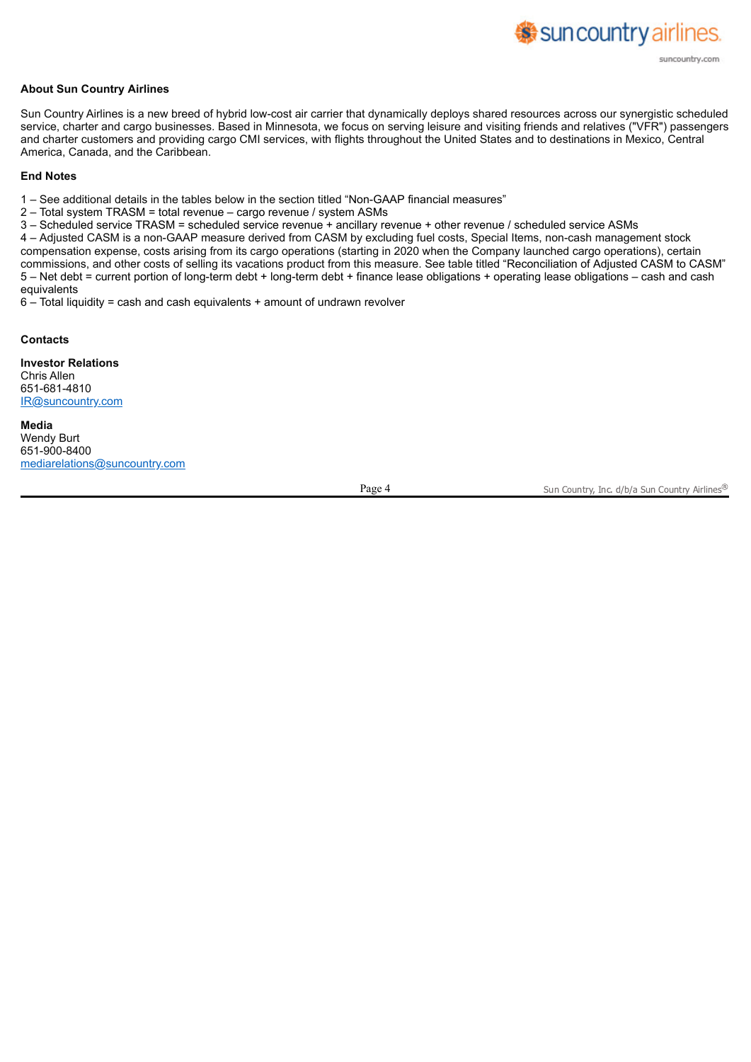# **About Sun Country Airlines**

Sun Country Airlines is a new breed of hybrid low-cost air carrier that dynamically deploys shared resources across our synergistic scheduled service, charter and cargo businesses. Based in Minnesota, we focus on serving leisure and visiting friends and relatives ("VFR") passengers and charter customers and providing cargo CMI services, with flights throughout the United States and to destinations in Mexico, Central America, Canada, and the Caribbean.

#### **End Notes**

1 – See additional details in the tables below in the section titled "Non-GAAP financial measures"

2 – Total system TRASM = total revenue – cargo revenue / system ASMs

3 – Scheduled service TRASM = scheduled service revenue + ancillary revenue + other revenue / scheduled service ASMs

4 – Adjusted CASM is a non-GAAP measure derived from CASM by excluding fuel costs, Special Items, non-cash management stock compensation expense, costs arising from its cargo operations (starting in 2020 when the Company launched cargo operations), certain commissions, and other costs of selling its vacations product from this measure. See table titled "Reconciliation of Adjusted CASM to CASM" 5 – Net debt = current portion of long-term debt + long-term debt + finance lease obligations + operating lease obligations – cash and cash equivalents

6 – Total liquidity = cash and cash equivalents + amount of undrawn revolver

#### **Contacts**

**Investor Relations** Chris Allen 651-681-4810 IR@suncountry.com

**Media** Wendy Burt 651-900-8400 mediarelations@suncountry.com

Page 4 Sun Country, Inc. d/b/a Sun Country Airlines®

sun country airlines.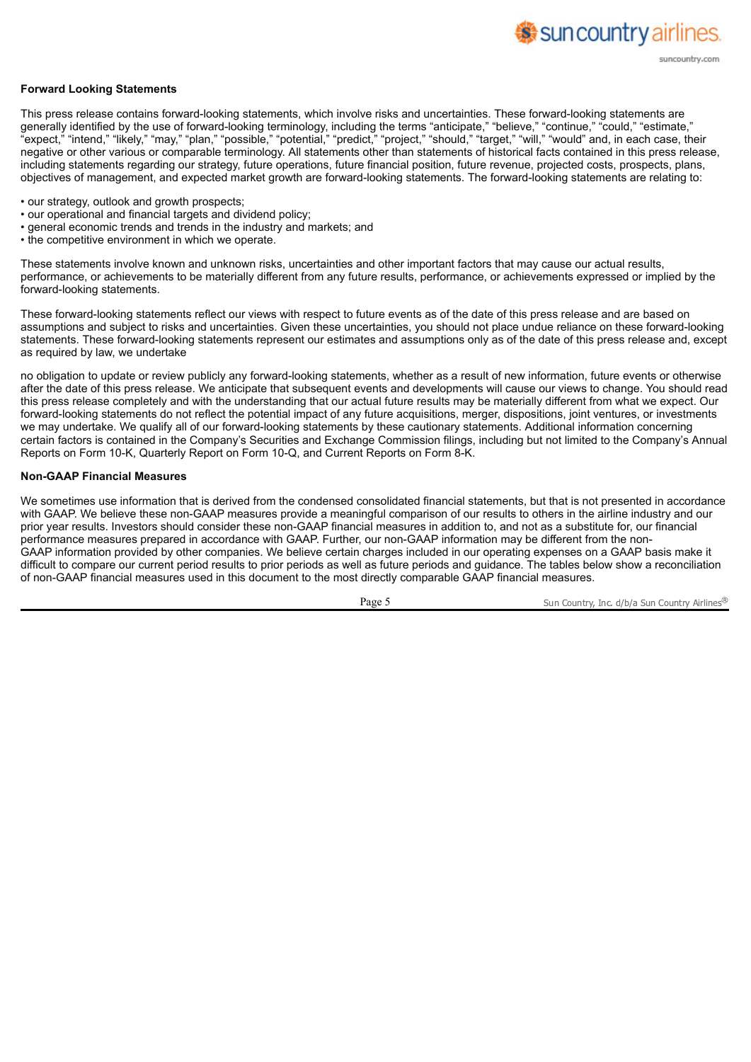

This press release contains forward-looking statements, which involve risks and uncertainties. These forward-looking statements are generally identified by the use of forward-looking terminology, including the terms "anticipate," "believe," "continue," "could," "estimate," "expect," "intend," "likely," "may," "plan," "possible," "potential," "predict," "project," "should," "target," "will," "would" and, in each case, their negative or other various or comparable terminology. All statements other than statements of historical facts contained in this press release, including statements regarding our strategy, future operations, future financial position, future revenue, projected costs, prospects, plans, objectives of management, and expected market growth are forward-looking statements. The forward-looking statements are relating to:

- our strategy, outlook and growth prospects;
- our operational and financial targets and dividend policy;
- general economic trends and trends in the industry and markets; and
- the competitive environment in which we operate.

These statements involve known and unknown risks, uncertainties and other important factors that may cause our actual results, performance, or achievements to be materially different from any future results, performance, or achievements expressed or implied by the forward-looking statements.

These forward-looking statements reflect our views with respect to future events as of the date of this press release and are based on assumptions and subject to risks and uncertainties. Given these uncertainties, you should not place undue reliance on these forward-looking statements. These forward-looking statements represent our estimates and assumptions only as of the date of this press release and, except as required by law, we undertake

no obligation to update or review publicly any forward-looking statements, whether as a result of new information, future events or otherwise after the date of this press release. We anticipate that subsequent events and developments will cause our views to change. You should read this press release completely and with the understanding that our actual future results may be materially different from what we expect. Our forward-looking statements do not reflect the potential impact of any future acquisitions, merger, dispositions, joint ventures, or investments we may undertake. We qualify all of our forward-looking statements by these cautionary statements. Additional information concerning certain factors is contained in the Company's Securities and Exchange Commission filings, including but not limited to the Company's Annual Reports on Form 10-K, Quarterly Report on Form 10-Q, and Current Reports on Form 8-K.

#### **Non-GAAP Financial Measures**

We sometimes use information that is derived from the condensed consolidated financial statements, but that is not presented in accordance with GAAP. We believe these non-GAAP measures provide a meaningful comparison of our results to others in the airline industry and our prior year results. Investors should consider these non-GAAP financial measures in addition to, and not as a substitute for, our financial performance measures prepared in accordance with GAAP. Further, our non-GAAP information may be different from the non-GAAP information provided by other companies. We believe certain charges included in our operating expenses on a GAAP basis make it difficult to compare our current period results to prior periods as well as future periods and guidance. The tables below show a reconciliation of non-GAAP financial measures used in this document to the most directly comparable GAAP financial measures.

Page 5 Sun Country, Inc. d/b/a Sun Country Airlines<sup>®</sup>

sun country airlines.

suncountry.com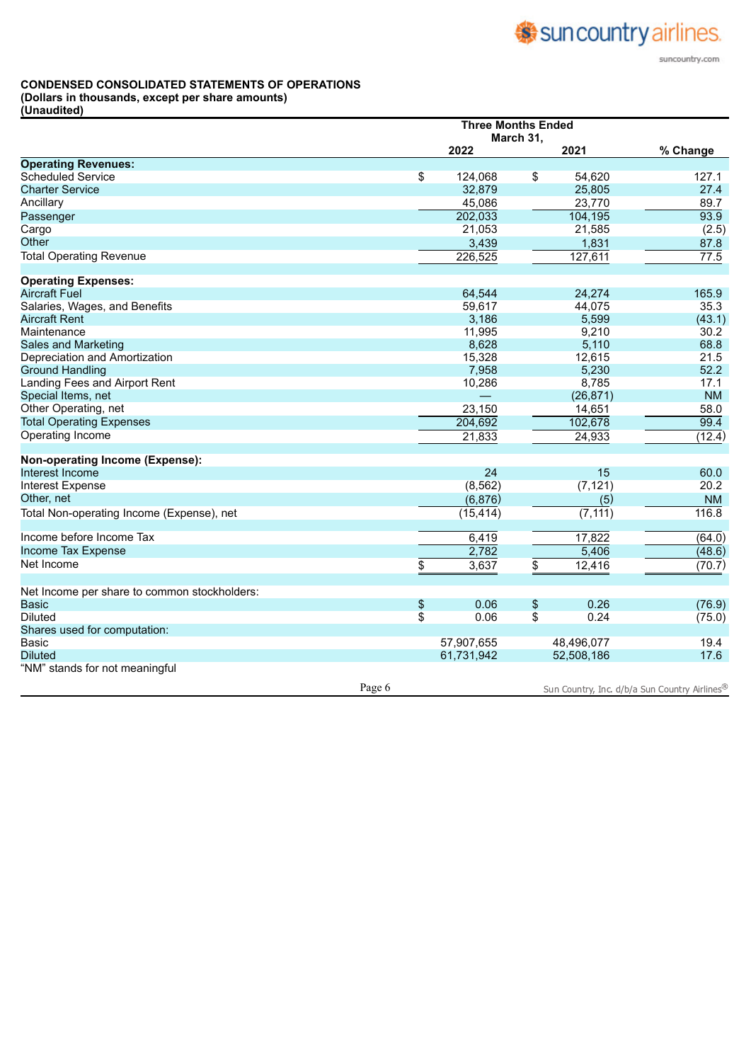#### **CONDENSED CONSOLIDATED STATEMENTS OF OPERATIONS**

**(Dollars in thousands, except per share amounts)**

**(Unaudited)**

|                                              |        | <b>Three Months Ended</b><br>March 31, |            |    |            |                                               |
|----------------------------------------------|--------|----------------------------------------|------------|----|------------|-----------------------------------------------|
|                                              |        |                                        | 2022       |    | 2021       | % Change                                      |
| <b>Operating Revenues:</b>                   |        |                                        |            |    |            |                                               |
| <b>Scheduled Service</b>                     |        | \$                                     | 124,068    | \$ | 54,620     | 127.1                                         |
| <b>Charter Service</b>                       |        |                                        | 32,879     |    | 25,805     | 27.4                                          |
| Ancillary                                    |        |                                        | 45,086     |    | 23,770     | 89.7                                          |
| Passenger                                    |        |                                        | 202,033    |    | 104, 195   | 93.9                                          |
| Cargo                                        |        |                                        | 21,053     |    | 21,585     | (2.5)                                         |
| Other                                        |        |                                        | 3,439      |    | 1,831      | 87.8                                          |
| <b>Total Operating Revenue</b>               |        |                                        | 226,525    |    | 127,611    | $\overline{77.5}$                             |
| <b>Operating Expenses:</b>                   |        |                                        |            |    |            |                                               |
| <b>Aircraft Fuel</b>                         |        |                                        | 64,544     |    | 24,274     | 165.9                                         |
| Salaries, Wages, and Benefits                |        |                                        | 59,617     |    | 44,075     | 35.3                                          |
| <b>Aircraft Rent</b>                         |        |                                        | 3,186      |    | 5,599      | (43.1)                                        |
| Maintenance                                  |        |                                        | 11,995     |    | 9,210      | 30.2                                          |
| Sales and Marketing                          |        |                                        | 8,628      |    | 5,110      | 68.8                                          |
| Depreciation and Amortization                |        |                                        | 15,328     |    | 12,615     | 21.5                                          |
| <b>Ground Handling</b>                       |        |                                        | 7,958      |    | 5,230      | 52.2                                          |
| Landing Fees and Airport Rent                |        |                                        | 10,286     |    | 8,785      | 17.1                                          |
| Special Items, net                           |        |                                        |            |    | (26, 871)  | <b>NM</b>                                     |
| Other Operating, net                         |        |                                        | 23,150     |    | 14,651     | 58.0                                          |
| <b>Total Operating Expenses</b>              |        |                                        | 204,692    |    | 102,678    | 99.4                                          |
| Operating Income                             |        |                                        | 21,833     |    | 24,933     | (12.4)                                        |
| Non-operating Income (Expense):              |        |                                        |            |    |            |                                               |
| Interest Income                              |        |                                        | 24         |    | 15         | 60.0                                          |
| <b>Interest Expense</b>                      |        |                                        | (8, 562)   |    | (7, 121)   | 20.2                                          |
| Other, net                                   |        |                                        | (6,876)    |    | (5)        | <b>NM</b>                                     |
| Total Non-operating Income (Expense), net    |        |                                        | (15, 414)  |    | (7, 111)   | 116.8                                         |
| Income before Income Tax                     |        |                                        | 6,419      |    | 17,822     | (64.0)                                        |
| Income Tax Expense                           |        |                                        | 2,782      |    | 5,406      | (48.6)                                        |
| Net Income                                   |        | \$                                     | 3,637      | \$ | 12,416     | (70.7)                                        |
| Net Income per share to common stockholders: |        |                                        |            |    |            |                                               |
| <b>Basic</b>                                 |        | \$                                     | 0.06       | \$ | 0.26       | (76.9)                                        |
| <b>Diluted</b>                               |        | \$                                     | 0.06       | \$ | 0.24       | (75.0)                                        |
| Shares used for computation:                 |        |                                        |            |    |            |                                               |
| <b>Basic</b>                                 |        |                                        | 57,907,655 |    | 48,496,077 | 19.4                                          |
| <b>Diluted</b>                               |        |                                        | 61,731,942 |    | 52,508,186 | 17.6                                          |
| "NM" stands for not meaningful               |        |                                        |            |    |            |                                               |
|                                              | Page 6 |                                        |            |    |            | Sun Country, Inc. d/b/a Sun Country Airlines® |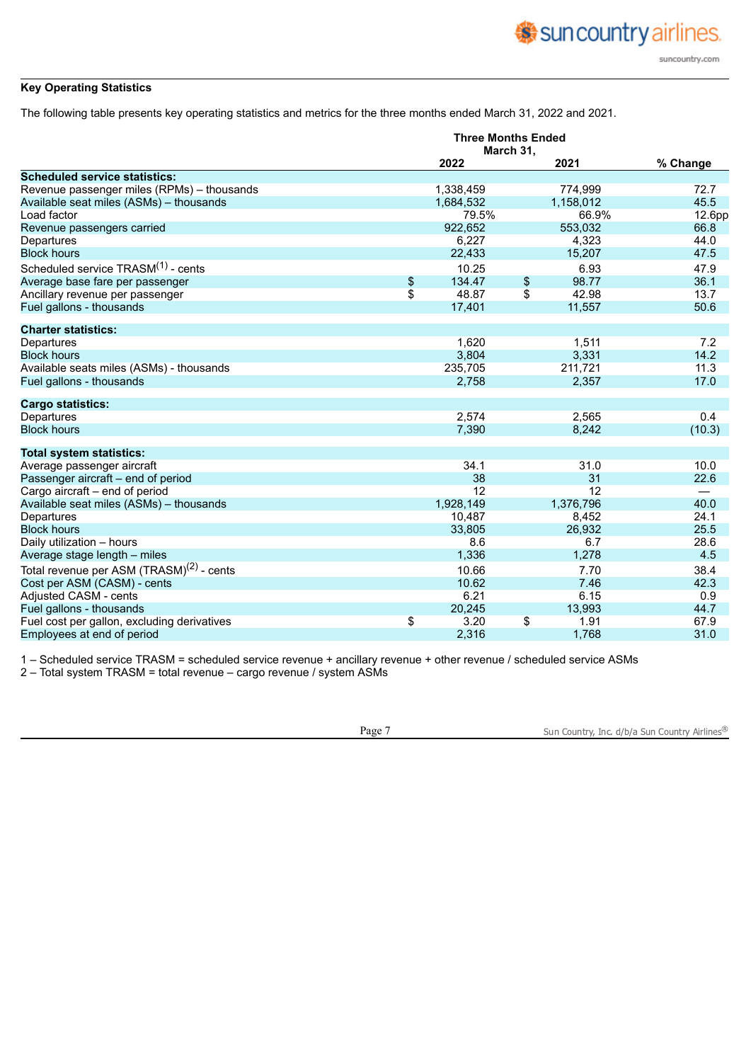# **Key Operating Statistics**

The following table presents key operating statistics and metrics for the three months ended March 31, 2022 and 2021.

|                                                      | <b>Three Months Ended</b><br>March 31, |    |           |          |  |
|------------------------------------------------------|----------------------------------------|----|-----------|----------|--|
|                                                      | 2022                                   |    | 2021      | % Change |  |
| <b>Scheduled service statistics:</b>                 |                                        |    |           |          |  |
| Revenue passenger miles (RPMs) - thousands           | 1,338,459                              |    | 774,999   | 72.7     |  |
| Available seat miles (ASMs) - thousands              | 1,684,532                              |    | 1,158,012 | 45.5     |  |
| Load factor                                          | 79.5%                                  |    | 66.9%     | 12.6pp   |  |
| Revenue passengers carried                           | 922,652                                |    | 553,032   | 66.8     |  |
| Departures                                           | 6,227                                  |    | 4,323     | 44.0     |  |
| <b>Block hours</b>                                   | 22,433                                 |    | 15,207    | 47.5     |  |
| Scheduled service TRASM <sup>(1)</sup> - cents       | 10.25                                  |    | 6.93      | 47.9     |  |
| Average base fare per passenger                      | \$<br>134.47                           | \$ | 98.77     | 36.1     |  |
| Ancillary revenue per passenger                      | \$<br>48.87                            | \$ | 42.98     | 13.7     |  |
| Fuel gallons - thousands                             | 17,401                                 |    | 11,557    | 50.6     |  |
| <b>Charter statistics:</b>                           |                                        |    |           |          |  |
| Departures                                           | 1,620                                  |    | 1,511     | 7.2      |  |
| <b>Block hours</b>                                   | 3,804                                  |    | 3,331     | 14.2     |  |
| Available seats miles (ASMs) - thousands             | 235,705                                |    | 211,721   | 11.3     |  |
| Fuel gallons - thousands                             | 2,758                                  |    | 2,357     | 17.0     |  |
| <b>Cargo statistics:</b>                             |                                        |    |           |          |  |
| Departures                                           | 2,574                                  |    | 2,565     | 0.4      |  |
| <b>Block hours</b>                                   | 7,390                                  |    | 8,242     | (10.3)   |  |
| <b>Total system statistics:</b>                      |                                        |    |           |          |  |
| Average passenger aircraft                           | 34.1                                   |    | 31.0      | 10.0     |  |
| Passenger aircraft - end of period                   | 38                                     |    | 31        | 22.6     |  |
| Cargo aircraft - end of period                       | 12                                     |    | 12        |          |  |
| Available seat miles (ASMs) - thousands              | 1,928,149                              |    | 1,376,796 | 40.0     |  |
| Departures                                           | 10,487                                 |    | 8,452     | 24.1     |  |
| <b>Block hours</b>                                   | 33,805                                 |    | 26,932    | 25.5     |  |
| Daily utilization - hours                            | 8.6                                    |    | 6.7       | 28.6     |  |
| Average stage length - miles                         | 1,336                                  |    | 1,278     | 4.5      |  |
| Total revenue per ASM (TRASM) <sup>(2)</sup> - cents | 10.66                                  |    | 7.70      | 38.4     |  |
| Cost per ASM (CASM) - cents                          | 10.62                                  |    | 7.46      | 42.3     |  |
| Adjusted CASM - cents                                | 6.21                                   |    | 6.15      | 0.9      |  |
| Fuel gallons - thousands                             | 20,245                                 |    | 13,993    | 44.7     |  |
| Fuel cost per gallon, excluding derivatives          | \$<br>3.20                             | \$ | 1.91      | 67.9     |  |
| Employees at end of period                           | 2,316                                  |    | 1,768     | 31.0     |  |

1 – Scheduled service TRASM = scheduled service revenue + ancillary revenue + other revenue / scheduled service ASMs

2 – Total system TRASM = total revenue – cargo revenue / system ASMs

Page 7 Sun Country, Inc. d/b/a Sun Country Airlines®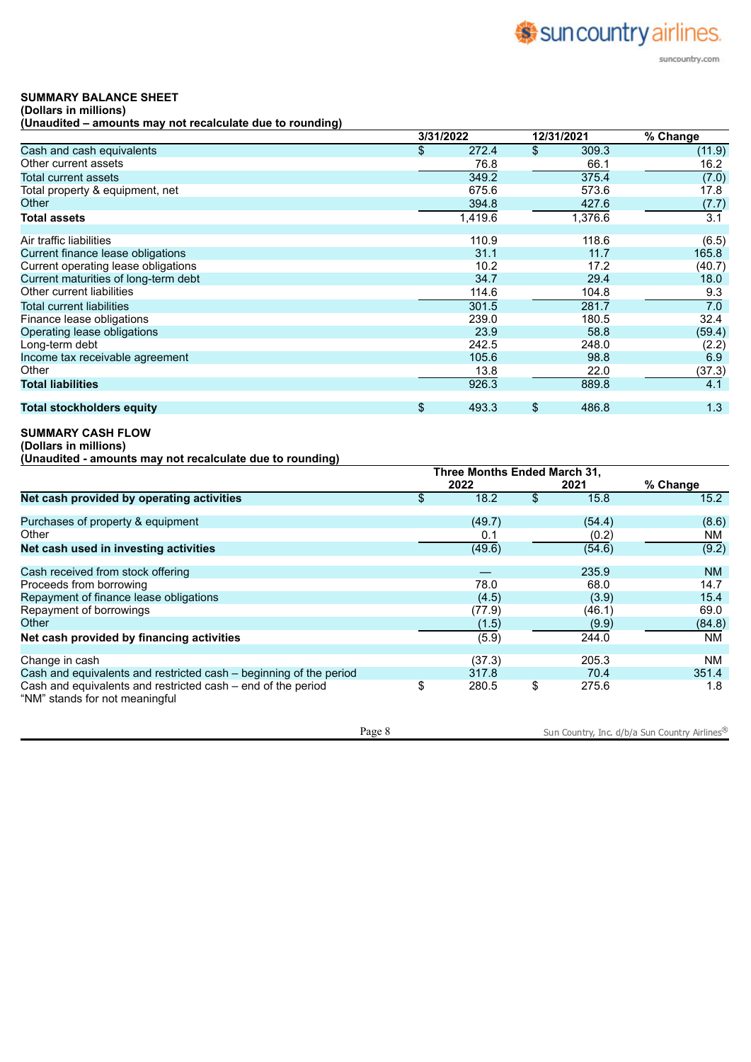# Suncountry airlines. suncountry.com

# **SUMMARY BALANCE SHEET**

**(Dollars in millions) (Unaudited – amounts may not recalculate due to rounding)**

|                                      | 3/31/2022   | 12/31/2021 |         | % Change |  |
|--------------------------------------|-------------|------------|---------|----------|--|
| Cash and cash equivalents            | \$<br>272.4 | \$         | 309.3   | (11.9)   |  |
| Other current assets                 | 76.8        |            | 66.1    | 16.2     |  |
| Total current assets                 | 349.2       |            | 375.4   | (7.0)    |  |
| Total property & equipment, net      | 675.6       |            | 573.6   | 17.8     |  |
| Other                                | 394.8       |            | 427.6   | (7.7)    |  |
| <b>Total assets</b>                  | 1,419.6     |            | 1,376.6 | 3.1      |  |
| Air traffic liabilities              | 110.9       |            | 118.6   | (6.5)    |  |
| Current finance lease obligations    | 31.1        |            | 11.7    | 165.8    |  |
| Current operating lease obligations  | 10.2        |            | 17.2    | (40.7)   |  |
| Current maturities of long-term debt | 34.7        |            | 29.4    | 18.0     |  |
| Other current liabilities            | 114.6       |            | 104.8   | 9.3      |  |
| <b>Total current liabilities</b>     | 301.5       |            | 281.7   | 7.0      |  |
| Finance lease obligations            | 239.0       |            | 180.5   | 32.4     |  |
| Operating lease obligations          | 23.9        |            | 58.8    | (59.4)   |  |
| Long-term debt                       | 242.5       |            | 248.0   | (2.2)    |  |
| Income tax receivable agreement      | 105.6       |            | 98.8    | 6.9      |  |
| Other                                | 13.8        |            | 22.0    | (37.3)   |  |
| <b>Total liabilities</b>             | 926.3       |            | 889.8   | 4.1      |  |
| <b>Total stockholders equity</b>     | \$<br>493.3 | \$         | 486.8   | 1.3      |  |

## **SUMMARY CASH FLOW**

**(Dollars in millions)**

**(Unaudited - amounts may not recalculate due to rounding)**

|                                                                                                | Three Months Ended March 31, |        |    |        |          |
|------------------------------------------------------------------------------------------------|------------------------------|--------|----|--------|----------|
|                                                                                                |                              | 2022   |    | 2021   | % Change |
| Net cash provided by operating activities                                                      | \$                           | 18.2   | \$ | 15.8   | 15.2     |
| Purchases of property & equipment                                                              |                              | (49.7) |    | (54.4) | (8.6)    |
| Other                                                                                          |                              | 0.1    |    | (0.2)  | NM.      |
| Net cash used in investing activities                                                          |                              | (49.6) |    | (54.6) | (9.2)    |
| Cash received from stock offering                                                              |                              |        |    | 235.9  | NM.      |
| Proceeds from borrowing                                                                        |                              | 78.0   |    | 68.0   | 14.7     |
| Repayment of finance lease obligations                                                         |                              | (4.5)  |    | (3.9)  | 15.4     |
| Repayment of borrowings                                                                        |                              | (77.9) |    | (46.1) | 69.0     |
| Other                                                                                          |                              | (1.5)  |    | (9.9)  | (84.8)   |
| Net cash provided by financing activities                                                      |                              | (5.9)  |    | 244.0  | NM.      |
| Change in cash                                                                                 |                              | (37.3) |    | 205.3  | NM.      |
| Cash and equivalents and restricted cash – beginning of the period                             |                              | 317.8  |    | 70.4   | 351.4    |
| Cash and equivalents and restricted cash – end of the period<br>"NM" stands for not meaningful | \$                           | 280.5  | \$ | 275.6  | 1.8      |

Page 8 Sun Country, Inc. d/b/a Sun Country Airlines<sup>®</sup>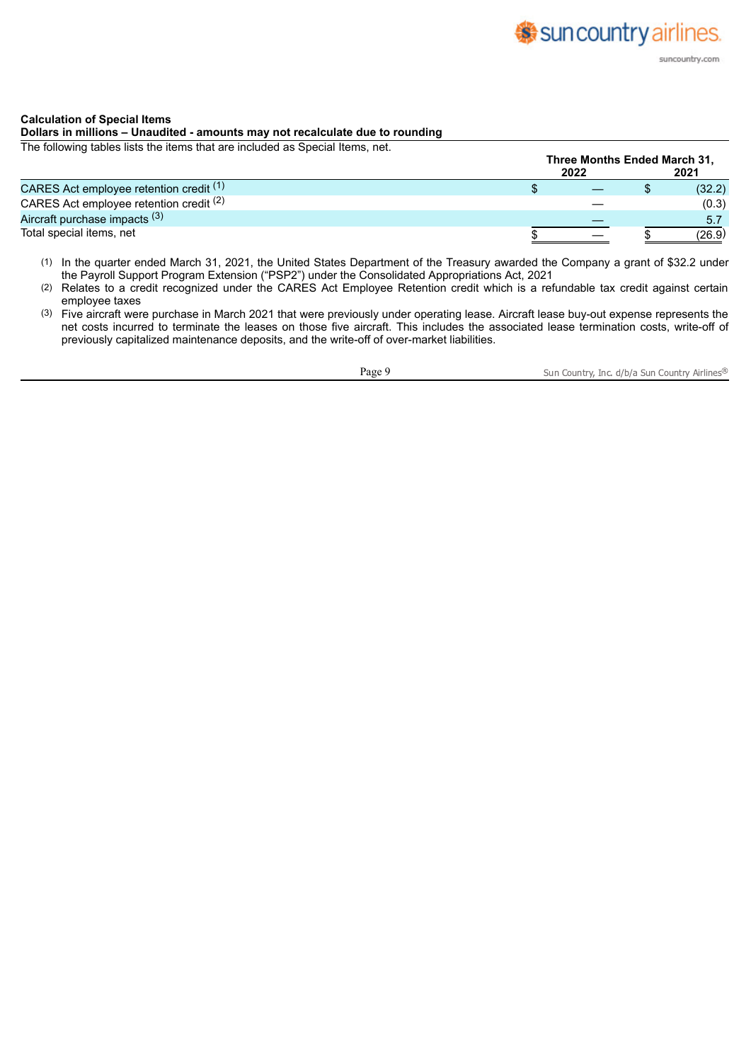#### **Calculation of Special Items**

# **Dollars in millions – Unaudited - amounts may not recalculate due to rounding**

The following tables lists the items that are included as Special Items, net.

|                                         | Three Months Ended March 31, |  |        |  |
|-----------------------------------------|------------------------------|--|--------|--|
|                                         | 2022                         |  | 2021   |  |
| CARES Act employee retention credit (1) |                              |  | (32.2) |  |
| CARES Act employee retention credit (2) |                              |  | (0.3)  |  |
| Aircraft purchase impacts (3)           |                              |  | 5.7    |  |
| Total special items, net                |                              |  | (26.9) |  |

- (1) In the quarter ended March 31, 2021, the United States Department of the Treasury awarded the Company a grant of \$32.2 under the Payroll Support Program Extension ("PSP2") under the Consolidated Appropriations Act, 2021
- (2) Relates to a credit recognized under the CARES Act Employee Retention credit which is a refundable tax credit against certain employee taxes
- (3) Five aircraft were purchase in March 2021 that were previously under operating lease. Aircraft lease buy-out expense represents the net costs incurred to terminate the leases on those five aircraft. This includes the associated lease termination costs, write-off of previously capitalized maintenance deposits, and the write-off of over-market liabilities.

Page 9 Sun Country, Inc. d/b/a Sun Country Airlines®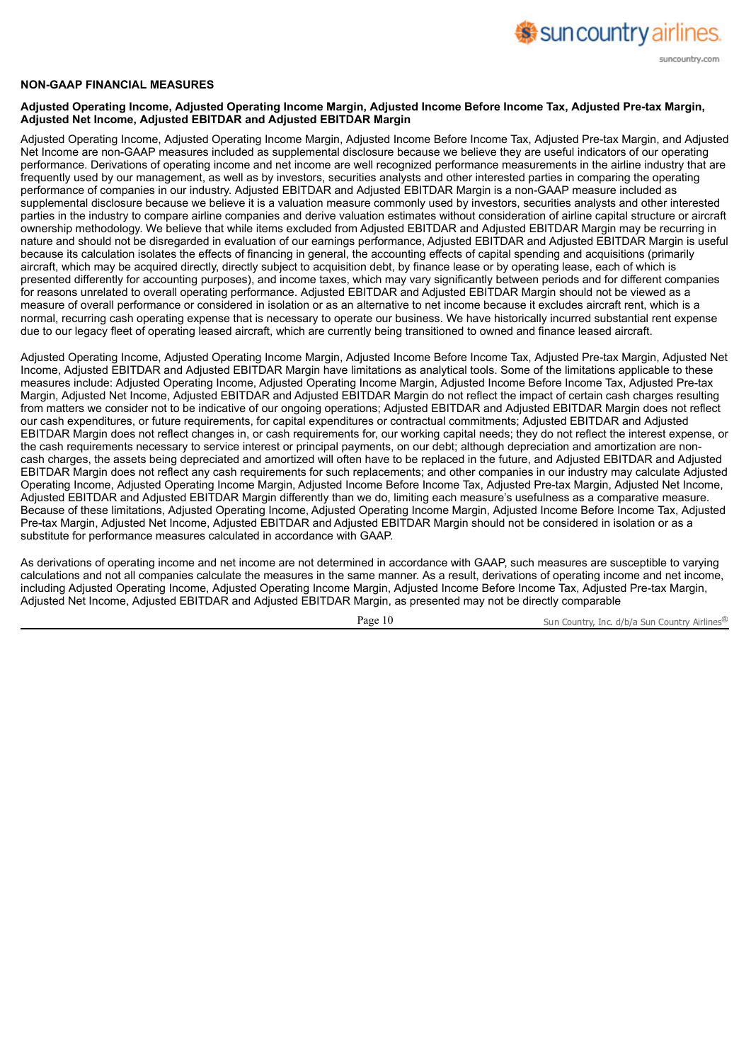

#### **NON-GAAP FINANCIAL MEASURES**

#### Adjusted Operating Income, Adjusted Operating Income Margin, Adjusted Income Before Income Tax, Adjusted Pre-tax Margin, **Adjusted Net Income, Adjusted EBITDAR and Adjusted EBITDAR Margin**

Adjusted Operating Income, Adjusted Operating Income Margin, Adjusted Income Before Income Tax, Adjusted Pre-tax Margin, and Adjusted Net Income are non-GAAP measures included as supplemental disclosure because we believe they are useful indicators of our operating performance. Derivations of operating income and net income are well recognized performance measurements in the airline industry that are frequently used by our management, as well as by investors, securities analysts and other interested parties in comparing the operating performance of companies in our industry. Adjusted EBITDAR and Adjusted EBITDAR Margin is a non-GAAP measure included as supplemental disclosure because we believe it is a valuation measure commonly used by investors, securities analysts and other interested parties in the industry to compare airline companies and derive valuation estimates without consideration of airline capital structure or aircraft ownership methodology. We believe that while items excluded from Adjusted EBITDAR and Adjusted EBITDAR Margin may be recurring in nature and should not be disregarded in evaluation of our earnings performance, Adjusted EBITDAR and Adjusted EBITDAR Margin is useful because its calculation isolates the effects of financing in general, the accounting effects of capital spending and acquisitions (primarily aircraft, which may be acquired directly, directly subject to acquisition debt, by finance lease or by operating lease, each of which is presented differently for accounting purposes), and income taxes, which may vary significantly between periods and for different companies for reasons unrelated to overall operating performance. Adjusted EBITDAR and Adjusted EBITDAR Margin should not be viewed as a measure of overall performance or considered in isolation or as an alternative to net income because it excludes aircraft rent, which is a normal, recurring cash operating expense that is necessary to operate our business. We have historically incurred substantial rent expense due to our legacy fleet of operating leased aircraft, which are currently being transitioned to owned and finance leased aircraft.

Adjusted Operating Income, Adjusted Operating Income Margin, Adjusted Income Before Income Tax, Adjusted Pre-tax Margin, Adjusted Net Income, Adjusted EBITDAR and Adjusted EBITDAR Margin have limitations as analytical tools. Some of the limitations applicable to these measures include: Adjusted Operating Income, Adjusted Operating Income Margin, Adjusted Income Before Income Tax, Adjusted Pre-tax Margin, Adjusted Net Income, Adjusted EBITDAR and Adjusted EBITDAR Margin do not reflect the impact of certain cash charges resulting from matters we consider not to be indicative of our ongoing operations; Adjusted EBITDAR and Adjusted EBITDAR Margin does not reflect our cash expenditures, or future requirements, for capital expenditures or contractual commitments; Adjusted EBITDAR and Adjusted EBITDAR Margin does not reflect changes in, or cash requirements for, our working capital needs; they do not reflect the interest expense, or the cash requirements necessary to service interest or principal payments, on our debt; although depreciation and amortization are noncash charges, the assets being depreciated and amortized will often have to be replaced in the future, and Adjusted EBITDAR and Adjusted EBITDAR Margin does not reflect any cash requirements for such replacements; and other companies in our industry may calculate Adjusted Operating Income, Adjusted Operating Income Margin, Adjusted Income Before Income Tax, Adjusted Pre-tax Margin, Adjusted Net Income, Adjusted EBITDAR and Adjusted EBITDAR Margin differently than we do, limiting each measure's usefulness as a comparative measure. Because of these limitations, Adjusted Operating Income, Adjusted Operating Income Margin, Adjusted Income Before Income Tax, Adjusted Pre-tax Margin, Adjusted Net Income, Adjusted EBITDAR and Adjusted EBITDAR Margin should not be considered in isolation or as a substitute for performance measures calculated in accordance with GAAP.

As derivations of operating income and net income are not determined in accordance with GAAP, such measures are susceptible to varying calculations and not all companies calculate the measures in the same manner. As a result, derivations of operating income and net income, including Adjusted Operating Income, Adjusted Operating Income Margin, Adjusted Income Before Income Tax, Adjusted Pre-tax Margin, Adjusted Net Income, Adjusted EBITDAR and Adjusted EBITDAR Margin, as presented may not be directly comparable

Page 10 Sun Country, Inc. d/b/a Sun Country Airlines<sup>®</sup>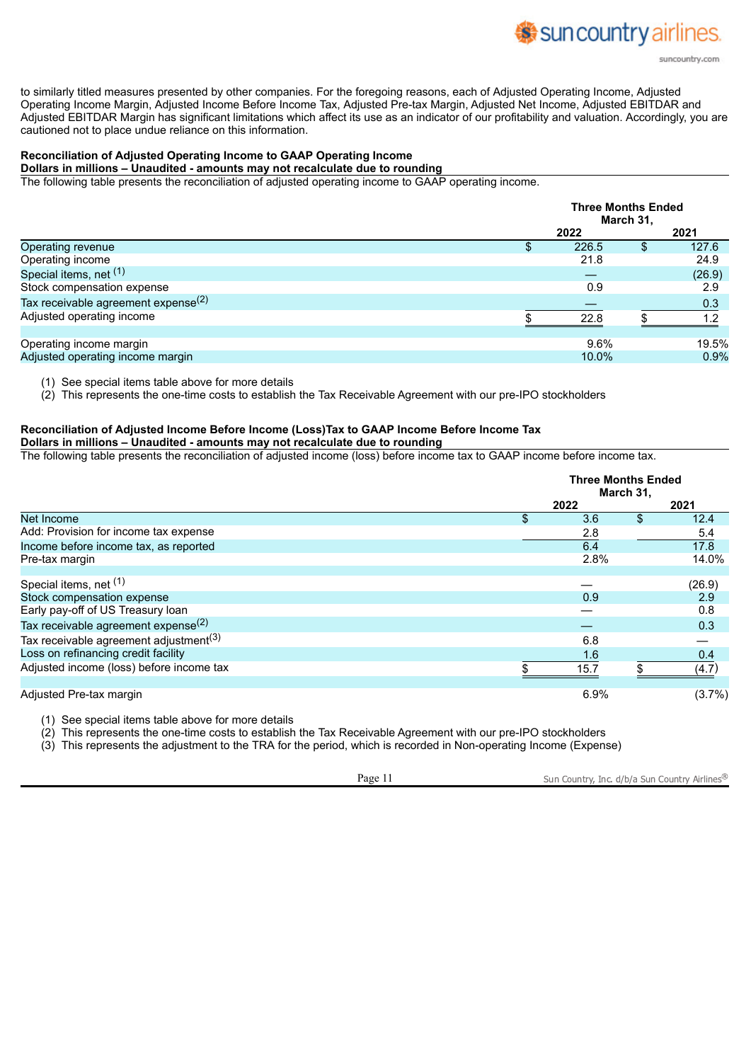to similarly titled measures presented by other companies. For the foregoing reasons, each of Adjusted Operating Income, Adjusted Operating Income Margin, Adjusted Income Before Income Tax, Adjusted Pre-tax Margin, Adjusted Net Income, Adjusted EBITDAR and Adjusted EBITDAR Margin has significant limitations which affect its use as an indicator of our profitability and valuation. Accordingly, you are cautioned not to place undue reliance on this information.

## **Reconciliation of Adjusted Operating Income to GAAP Operating Income**

**Dollars in millions – Unaudited - amounts may not recalculate due to rounding**

The following table presents the reconciliation of adjusted operating income to GAAP operating income.

|                                        | <b>Three Months Ended</b><br>March 31, |   |        |  |  |
|----------------------------------------|----------------------------------------|---|--------|--|--|
|                                        | 2022                                   |   | 2021   |  |  |
| Operating revenue                      | 226.5                                  | S | 127.6  |  |  |
| Operating income                       | 21.8                                   |   | 24.9   |  |  |
| Special items, net (1)                 |                                        |   | (26.9) |  |  |
| Stock compensation expense             | 0.9                                    |   | 2.9    |  |  |
| Tax receivable agreement expense $(2)$ |                                        |   | 0.3    |  |  |
| Adjusted operating income              | 22.8                                   |   | 1.2    |  |  |
|                                        |                                        |   |        |  |  |
| Operating income margin                | 9.6%                                   |   | 19.5%  |  |  |
| Adjusted operating income margin       | 10.0%                                  |   | 0.9%   |  |  |

(1) See special items table above for more details

(2) This represents the one-time costs to establish the Tax Receivable Agreement with our pre-IPO stockholders

#### **Reconciliation of Adjusted Income Before Income (Loss)Tax to GAAP Income Before Income Tax**

**Dollars in millions – Unaudited - amounts may not recalculate due to rounding**

The following table presents the reconciliation of adjusted income (loss) before income tax to GAAP income before income tax.

|                                                    | <b>Three Months Ended</b><br>March 31, |    |           |  |
|----------------------------------------------------|----------------------------------------|----|-----------|--|
|                                                    | 2022                                   |    | 2021      |  |
| Net Income                                         | 3.6                                    | \$ | 12.4      |  |
| Add: Provision for income tax expense              | 2.8                                    |    | 5.4       |  |
| Income before income tax, as reported              | 6.4                                    |    | 17.8      |  |
| Pre-tax margin                                     | 2.8%                                   |    | 14.0%     |  |
| Special items, net (1)                             |                                        |    | (26.9)    |  |
| Stock compensation expense                         | 0.9                                    |    | 2.9       |  |
| Early pay-off of US Treasury loan                  |                                        |    | 0.8       |  |
| Tax receivable agreement expense $(2)$             |                                        |    | 0.3       |  |
| Tax receivable agreement adjustment <sup>(3)</sup> | 6.8                                    |    |           |  |
| Loss on refinancing credit facility                | 1.6                                    |    | 0.4       |  |
| Adjusted income (loss) before income tax           | 15.7                                   |    | (4.7)     |  |
| Adjusted Pre-tax margin                            | 6.9%                                   |    | $(3.7\%)$ |  |

(1) See special items table above for more details

(2) This represents the one-time costs to establish the Tax Receivable Agreement with our pre-IPO stockholders

(3) This represents the adjustment to the TRA for the period, which is recorded in Non-operating Income (Expense)

Page 11 Sun Country, Inc. d/b/a Sun Country Airlines<sup>®</sup>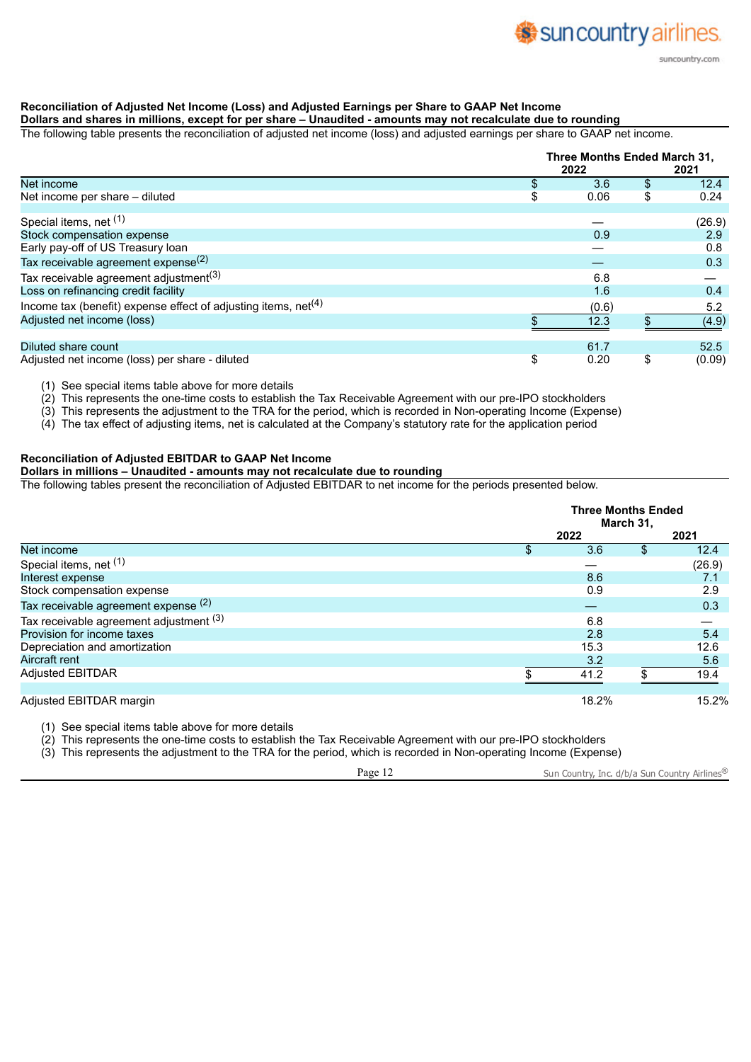# **Reconciliation of Adjusted Net Income (Loss) and Adjusted Earnings per Share to GAAP Net Income**

# Dollars and shares in millions, except for per share - Unaudited - amounts may not recalculate due to rounding

The following table presents the reconciliation of adjusted net income (loss) and adjusted earnings per share to GAAP net income.

|                                                                  |    | 2022  | Three Months Ended March 31,<br>2021 |        |
|------------------------------------------------------------------|----|-------|--------------------------------------|--------|
| Net income                                                       | \$ | 3.6   | \$                                   | 12.4   |
| Net income per share – diluted                                   | \$ | 0.06  | \$                                   | 0.24   |
| Special items, net (1)                                           |    |       |                                      | (26.9) |
| Stock compensation expense                                       |    | 0.9   |                                      | 2.9    |
| Early pay-off of US Treasury loan                                |    |       |                                      | 0.8    |
| Tax receivable agreement expense <sup>(2)</sup>                  |    |       |                                      | 0.3    |
| Tax receivable agreement adjustment <sup>(3)</sup>               |    | 6.8   |                                      |        |
| Loss on refinancing credit facility                              |    | 1.6   |                                      | 0.4    |
| Income tax (benefit) expense effect of adjusting items, $net(4)$ |    | (0.6) |                                      | 5.2    |
| Adjusted net income (loss)                                       |    | 12.3  |                                      | (4.9)  |
|                                                                  |    |       |                                      |        |
| Diluted share count                                              |    | 61.7  |                                      | 52.5   |
| Adjusted net income (loss) per share - diluted                   | \$ | 0.20  | \$                                   | (0.09) |

(1) See special items table above for more details

(2) This represents the one-time costs to establish the Tax Receivable Agreement with our pre-IPO stockholders

(3) This represents the adjustment to the TRA for the period, which is recorded in Non-operating Income (Expense)

(4) The tax effect of adjusting items, net is calculated at the Company's statutory rate for the application period

# **Reconciliation of Adjusted EBITDAR to GAAP Net Income**

# **Dollars in millions – Unaudited - amounts may not recalculate due to rounding**

The following tables present the reconciliation of Adjusted EBITDAR to net income for the periods presented below.

|                                         | <b>Three Months Ended</b><br>March 31, |    |        |  |
|-----------------------------------------|----------------------------------------|----|--------|--|
|                                         | 2022                                   |    | 2021   |  |
| Net income                              | \$<br>3.6                              | \$ | 12.4   |  |
| Special items, net (1)                  |                                        |    | (26.9) |  |
| Interest expense                        | 8.6                                    |    | 7.1    |  |
| Stock compensation expense              | 0.9                                    |    | 2.9    |  |
| Tax receivable agreement expense (2)    |                                        |    | 0.3    |  |
| Tax receivable agreement adjustment (3) | 6.8                                    |    |        |  |
| Provision for income taxes              | 2.8                                    |    | 5.4    |  |
| Depreciation and amortization           | 15.3                                   |    | 12.6   |  |
| Aircraft rent                           | 3.2                                    |    | 5.6    |  |
| Adjusted EBITDAR                        | 41.2                                   |    | 19.4   |  |
| Adjusted EBITDAR margin                 | 18.2%                                  |    | 15.2%  |  |

(1) See special items table above for more details

 $(2)$  This represents the one-time costs to establish the Tax Receivable Agreement with our pre-IPO stockholders

(3) This represents the adjustment to the TRA for the period, which is recorded in Non-operating Income (Expense)

Page 12 Sun Country, Inc. d/b/a Sun Country Airlines®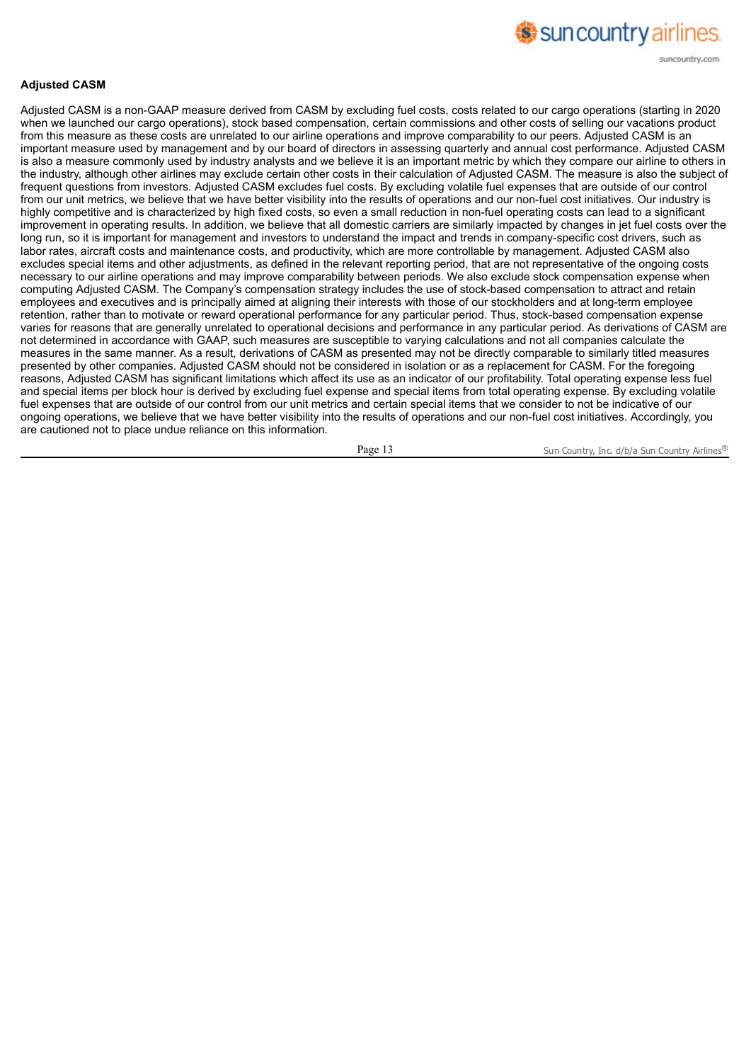

#### **Adjusted CASM**

Adjusted CASM is a non-GAAP measure derived from CASM by excluding fuel costs, costs related to our cargo operations (starting in 2020 when we launched our cargo operations), stock based compensation, certain commissions and other costs of selling our vacations product from this measure as these costs are unrelated to our airline operations and improve comparability to our peers. Adjusted CASM is an important measure used by management and by our board of directors in assessing quarterly and annual cost performance. Adjusted CASM is also a measure commonly used by industry analysts and we believe it is an important metric by which they compare our airline to others in the industry, although other airlines may exclude certain other costs in their calculation of Adjusted CASM. The measure is also the subject of frequent questions from investors. Adjusted CASM excludes fuel costs. By excluding volatile fuel expenses that are outside of our control from our unit metrics, we believe that we have better visibility into the results of operations and our non-fuel cost initiatives. Our industry is highly competitive and is characterized by high fixed costs, so even a small reduction in non-fuel operating costs can lead to a significant improvement in operating results. In addition, we believe that all domestic carriers are similarly impacted by changes in jet fuel costs over the long run, so it is important for management and investors to understand the impact and trends in company-specific cost drivers, such as labor rates, aircraft costs and maintenance costs, and productivity, which are more controllable by management. Adjusted CASM also excludes special items and other adjustments, as defined in the relevant reporting period, that are not representative of the ongoing costs necessary to our airline operations and may improve comparability between periods. We also exclude stock compensation expense when computing Adjusted CASM. The Company's compensation strategy includes the use of stock-based compensation to attract and retain employees and executives and is principally aimed at aligning their interests with those of our stockholders and at long-term employee retention, rather than to motivate or reward operational performance for any particular period. Thus, stock-based compensation expense varies for reasons that are generally unrelated to operational decisions and performance in any particular period. As derivations of CASM are not determined in accordance with GAAP, such measures are susceptible to varying calculations and not all companies calculate the measures in the same manner. As a result, derivations of CASM as presented may not be directly comparable to similarly titled measures presented by other companies. Adjusted CASM should not be considered in isolation or as a replacement for CASM. For the foregoing reasons, Adjusted CASM has significant limitations which affect its use as an indicator of our profitability. Total operating expense less fuel and special items per block hour is derived by excluding fuel expense and special items from total operating expense. By excluding volatile fuel expenses that are outside of our control from our unit metrics and certain special items that we consider to not be indicative of our ongoing operations, we believe that we have better visibility into the results of operations and our non-fuel cost initiatives. Accordingly, you are cautioned not to place undue reliance on this information.

Page 13 Sun Country, Inc. d/b/a Sun Country Airlines<sup>®</sup>